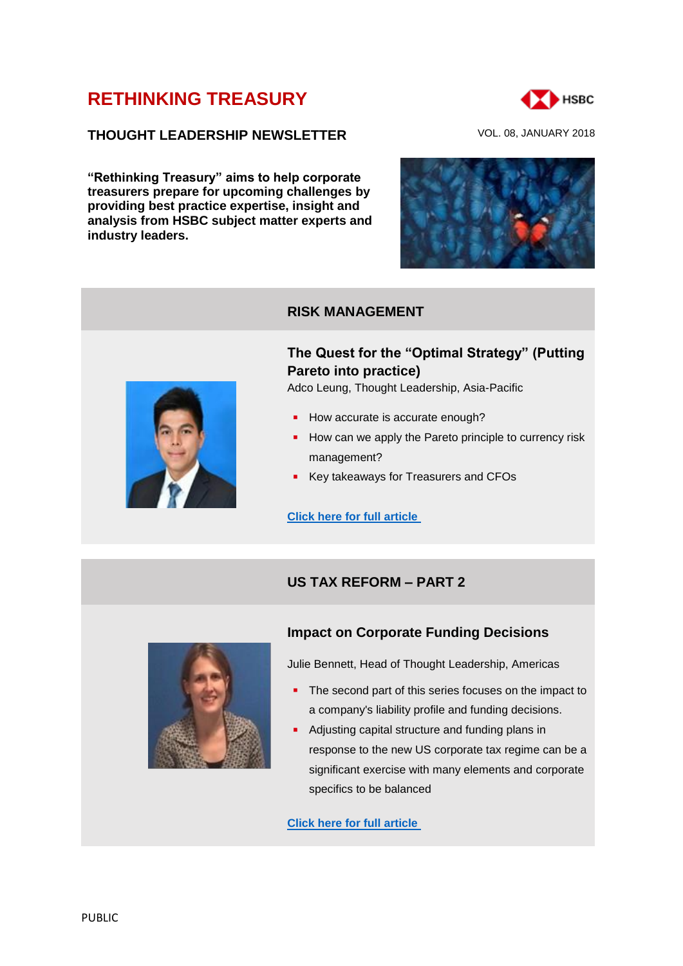# **[RETHINKING TREASURY](http://www.gbm.hsbc.com/the-new-future#rethinking-treasury)**

# **THOUGHT LEADERSHIP NEWSLETTER** VOL. 08, JANUARY 2018

**"Rethinking Treasury" aims to help corporate treasurers prepare for upcoming challenges by providing best practice expertise, insight and analysis from HSBC subject matter experts and industry leaders.**





## **RISK MANAGEMENT**

# **The Quest for the "Optimal Strategy" (Putting Pareto into practice)**

Adco Leung, Thought Leadership, Asia-Pacific

- How accurate is accurate enough?
- $\blacksquare$  How can we apply the Pareto principle to currency risk management?
- Key takeaways for Treasurers and CFOs

**[Click here for full article](https://www.gbm.hsbc.com/insights/markets/the-quest-for-the-optimal-strategy)**

# **US TAX REFORM – PART 2**



# **Impact on Corporate Funding Decisions**

Julie Bennett, Head of Thought Leadership, Americas

- The second part of this series focuses on the impact to a company's liability profile and funding decisions.
- Adjusting capital structure and funding plans in response to the new US corporate tax regime can be a significant exercise with many elements and corporate specifics to be balanced

**[Click here for full article](https://www.gbm.hsbc.com/insights/markets/us-tax-reform-a-year-later-part-2)**